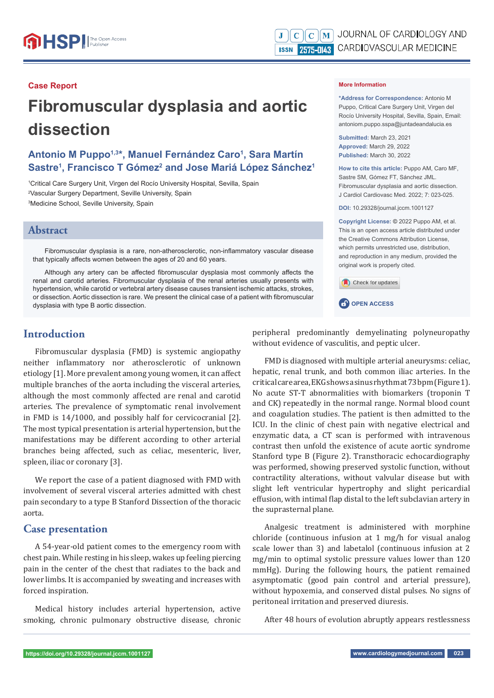#### **Case Report**

# **Fibromuscular dysplasia and aortic dissection**

# **Antonio M Puppo1,3\*, Manuel Fernández Caro1 , Sara Martín**  Sastre<sup>1</sup>, Francisco T Gómez<sup>2</sup> and Jose Mariá López Sánchez<sup>1</sup>

1 Critical Care Surgery Unit, Virgen del Rocío University Hospital, Sevilla, Spain 2 Vascular Surgery Department, Seville University, Spain 3 Medicine School, Seville University, Spain

#### **Abstract**

Fibromuscular dysplasia is a rare, non-atherosclerotic, non-inflammatory vascular disease that typically affects women between the ages of 20 and 60 years.

Although any artery can be affected fibromuscular dysplasia most commonly affects the renal and carotid arteries. Fibromuscular dysplasia of the renal arteries usually presents with hypertension, while carotid or vertebral artery disease causes transient ischemic attacks, strokes, or dissection. Aortic dissection is rare. We present the clinical case of a patient with fibromuscular dysplasia with type B aortic dissection.

# **Introduction**

Fibromuscular dysplasia (FMD) is systemic angiopathy neither inflammatory nor atherosclerotic of unknown etiology [1]. More prevalent among young women, it can affect multiple branches of the aorta including the visceral arteries, although the most commonly affected are renal and carotid arteries. The prevalence of symptomatic renal involvement in FMD is 14/1000, and possibly half for cervicocranial [2]. The most typical presentation is arterial hypertension, but the manifestations may be different according to other arterial branches being affected, such as celiac, mesenteric, liver, spleen, iliac or coronary [3].

We report the case of a patient diagnosed with FMD with involvement of several visceral arteries admitted with chest pain secondary to a type B Stanford Dissection of the thoracic aorta.

### **Case presentation**

A 54-year-old patient comes to the emergency room with chest pain. While resting in his sleep, wakes up feeling piercing pain in the center of the chest that radiates to the back and lower limbs. It is accompanied by sweating and increases with forced inspiration.

Medical history includes arterial hypertension, active smoking, chronic pulmonary obstructive disease, chronic

#### **More Information**

**\*Address for Correspondence:** Antonio M Puppo, Critical Care Surgery Unit, Virgen del Rocío University Hospital, Sevilla, Spain, Email: antoniom.puppo.sspa@juntadeandalucia.es

**Submitted:** March 23, 2021 **Approved:** March 29, 2022 **Published:** March 30, 2022

**How to cite this article:** Puppo AM, Caro MF, Sastre SM, Gómez FT, Sánchez JML. Fibromuscular dysplasia and aortic dissection. J Cardiol Cardiovasc Med. 2022; 7: 023-025.

**DOI:** 10.29328/journal.jccm.1001127

**Copyright License: ©** 2022 Puppo AM, et al. This is an open access article distributed under the Creative Commons Attribution License, which permits unrestricted use, distribution, and reproduction in any medium, provided the original work is properly cited.

Check for updates



peripheral predominantly demyelinating polyneuropathy without evidence of vasculitis, and peptic ulcer.

FMD is diagnosed with multiple arterial aneurysms: celiac, hepatic, renal trunk, and both common iliac arteries. In the critical care area, EKG shows a sinus rhythm at 73 bpm (Figure 1). No acute ST-T abnormalities with biomarkers (troponin T and CK) repeatedly in the normal range. Normal blood count and coagulation studies. The patient is then admitted to the ICU. In the clinic of chest pain with negative electrical and enzymatic data, a CT scan is performed with intravenous contrast then unfold the existence of acute aortic syndrome Stanford type B (Figure 2). Transthoracic echocardiography was performed, showing preserved systolic function, without contractility alterations, without valvular disease but with slight left ventricular hypertrophy and slight pericardial effusion, with intimal flap distal to the left subclavian artery in the suprasternal plane.

Analgesic treatment is administered with morphine chloride (continuous infusion at 1 mg/h for visual analog scale lower than 3) and labetalol (continuous infusion at 2 mg/min to optimal systolic pressure values lower than 120 mmHg). During the following hours, the patient remained asymptomatic (good pain control and arterial pressure), without hypoxemia, and conserved distal pulses. No signs of peritoneal irritation and preserved diuresis.

After 48 hours of evolution abruptly appears restlessness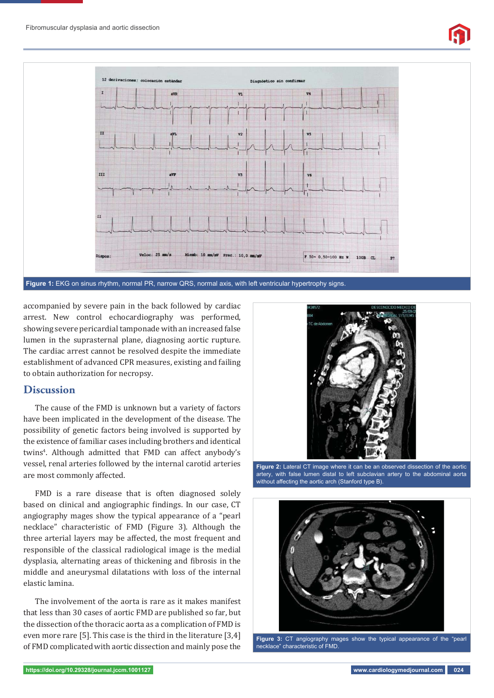



accompanied by severe pain in the back followed by cardiac arrest. New control echocardiography was performed, showing severe pericardial tamponade with an increased false lumen in the suprasternal plane, diagnosing aortic rupture. The cardiac arrest cannot be resolved despite the immediate establishment of advanced CPR measures, existing and failing to obtain authorization for necropsy.

# **Discussion**

The cause of the FMD is unknown but a variety of factors have been implicated in the development of the disease. The possibility of genetic factors being involved is supported by the existence of familiar cases including brothers and identical twins<sup>4</sup>. Although admitted that FMD can affect anybody's vessel, renal arteries followed by the internal carotid arteries are most commonly affected.

FMD is a rare disease that is often diagnosed solely based on clinical and angiographic findings. In our case, CT angiography mages show the typical appearance of a "pearl necklace" characteristic of FMD (Figure 3). Although the three arterial layers may be affected, the most frequent and responsible of the classical radiological image is the medial dysplasia, alternating areas of thickening and fibrosis in the middle and aneurysmal dilatations with loss of the internal elastic lamina.

The involvement of the aorta is rare as it makes manifest that less than 30 cases of aortic FMD are published so far, but the dissection of the thoracic aorta as a complication of FMD is even more rare [5]. This case is the third in the literature [3,4] of FMD complicated with aortic dissection and mainly pose the



**Figure 2:** Lateral CT image where it can be an observed dissection of the aortic artery, with false lumen distal to left subclavian artery to the abdominal aorta without affecting the aortic arch (Stanford type B).



**Figure 3:** CT angiography mages show the typical appearance of the "pearl necklace" characteristic of FMD.